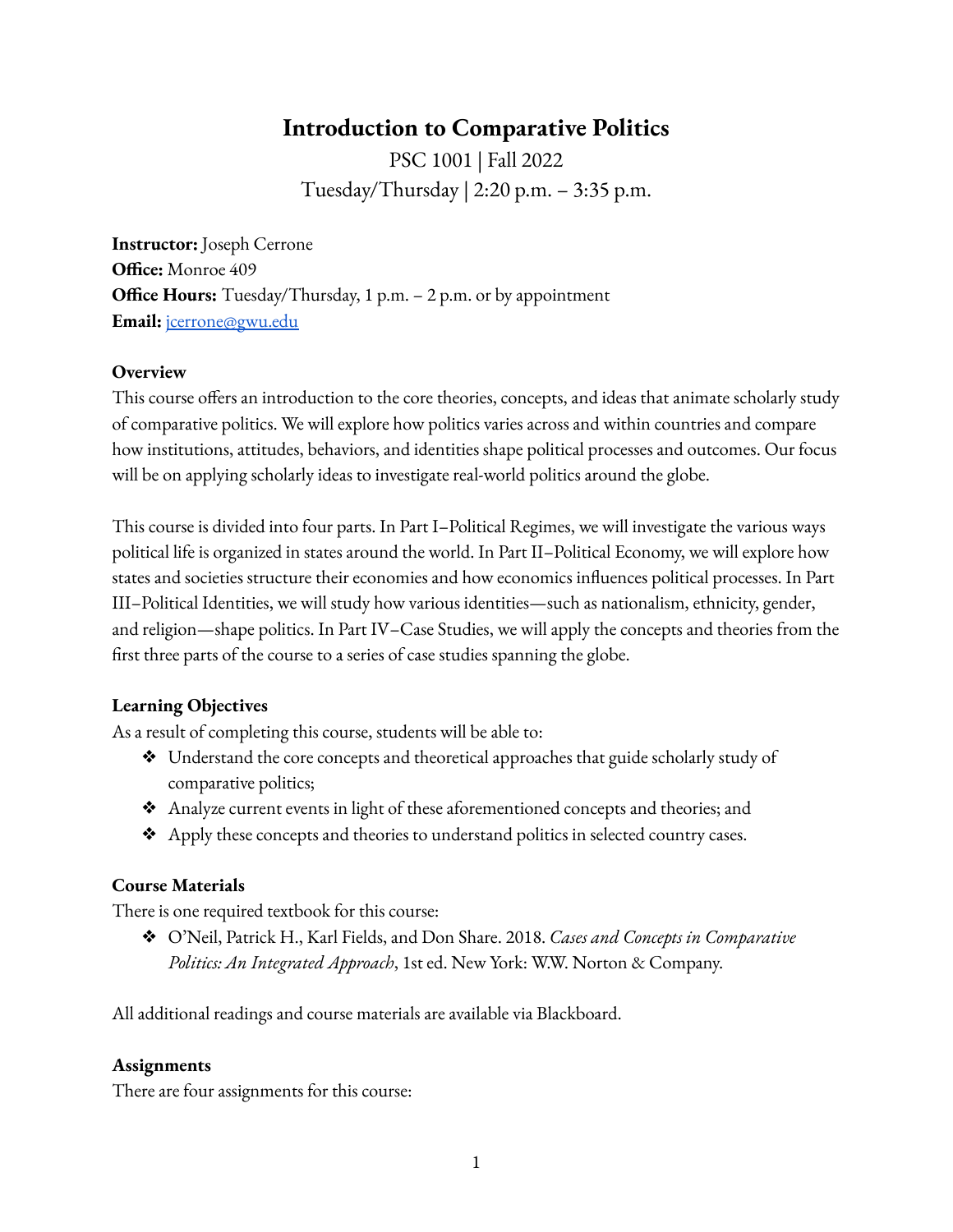# **Introduction to Comparative Politics**

PSC 1001 | Fall 2022 Tuesday/Thursday | 2:20 p.m. – 3:35 p.m.

**Instructor:** Joseph Cerrone **Office:** Monroe 409 **Office Hours:** Tuesday/Thursday, 1 p.m. – 2 p.m. or by appointment **Email:** [jcerrone@gwu.edu](mailto:jcerrone@gwu.edu)

## **Overview**

This course offers an introduction to the core theories, concepts, and ideas that animate scholarly study of comparative politics. We will explore how politics varies across and within countries and compare how institutions, attitudes, behaviors, and identities shape political processes and outcomes. Our focus will be on applying scholarly ideas to investigate real-world politics around the globe.

This course is divided into four parts. In Part I–Political Regimes, we will investigate the various ways political life is organized in states around the world. In Part II–Political Economy, we will explore how states and societies structure their economies and how economics influences political processes. In Part III–Political Identities, we will study how various identities—such as nationalism, ethnicity, gender, and religion—shape politics. In Part IV–Case Studies, we will apply the concepts and theories from the first three parts of the course to a series of case studies spanning the globe.

## **Learning Objectives**

As a result of completing this course, students will be able to:

- ❖ Understand the core concepts and theoretical approaches that guide scholarly study of comparative politics;
- ❖ Analyze current events in light of these aforementioned concepts and theories; and
- ❖ Apply these concepts and theories to understand politics in selected country cases.

## **Course Materials**

There is one required textbook for this course:

❖ O'Neil, Patrick H., Karl Fields, and Don Share. 2018. *Cases and Concepts in Comparative Politics: An Integrated Approach*, 1st ed. New York: W.W. Norton & Company.

All additional readings and course materials are available via Blackboard.

## **Assignments**

There are four assignments for this course: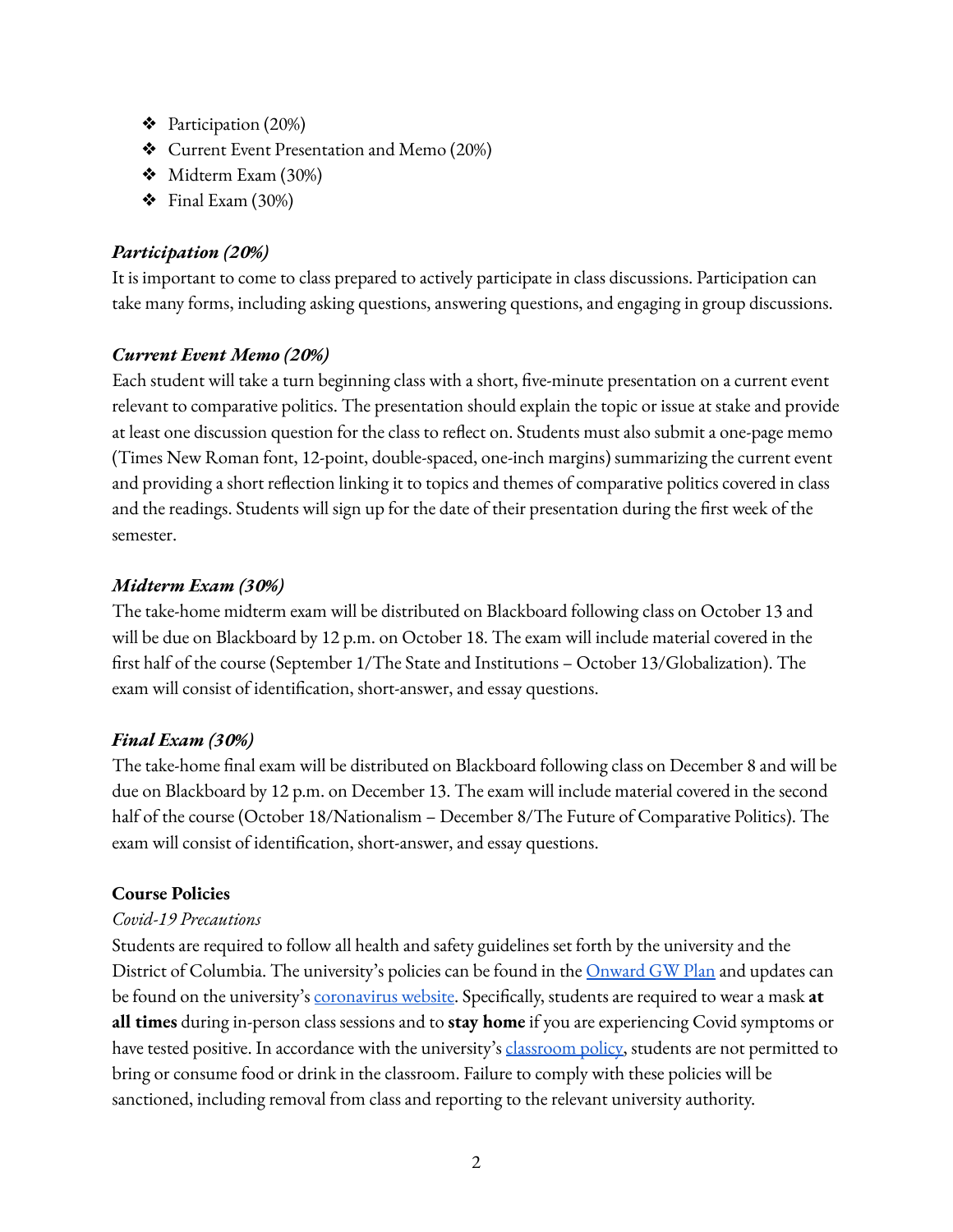- ❖ Participation (20%)
- ❖ Current Event Presentation and Memo (20%)
- ❖ Midterm Exam (30%)
- $\div$  Final Exam (30%)

## *Participation (20%)*

It is important to come to class prepared to actively participate in class discussions. Participation can take many forms, including asking questions, answering questions, and engaging in group discussions.

## *Current Event Memo (20%)*

Each student will take a turn beginning class with a short, five-minute presentation on a current event relevant to comparative politics. The presentation should explain the topic or issue at stake and provide at least one discussion question for the class to reflect on. Students must also submit a one-page memo (Times New Roman font, 12-point, double-spaced, one-inch margins) summarizing the current event and providing a short reflection linking it to topics and themes of comparative politics covered in class and the readings. Students will sign up for the date of their presentation during the first week of the semester.

## *Midterm Exam (30%)*

The take-home midterm exam will be distributed on Blackboard following class on October 13 and will be due on Blackboard by 12 p.m. on October 18. The exam will include material covered in the first half of the course (September 1/The State and Institutions – October 13/Globalization). The exam will consist of identification, short-answer, and essay questions.

## *Final Exam (30%)*

The take-home final exam will be distributed on Blackboard following class on December 8 and will be due on Blackboard by 12 p.m. on December 13. The exam will include material covered in the second half of the course (October 18/Nationalism – December 8/The Future of Comparative Politics). The exam will consist of identification, short-answer, and essay questions.

## **Course Policies**

## *Covid-19 Precautions*

Students are required to follow all health and safety guidelines set forth by the university and the District of Columbia. The university's policies can be found in the [Onward](https://onward.gwu.edu/) GW Plan and updates can be found on the university's [coronavirus](https://coronavirus.gwu.edu/) website. Specifically, students are required to wear a mask **at all times** during in-person class sessions and to **stay home** if you are experiencing Covid symptoms or have tested positive. In accordance with the university's [classroom](https://registrar.gwu.edu/reservation-rental-policies) policy, students are not permitted to bring or consume food or drink in the classroom. Failure to comply with these policies will be sanctioned, including removal from class and reporting to the relevant university authority.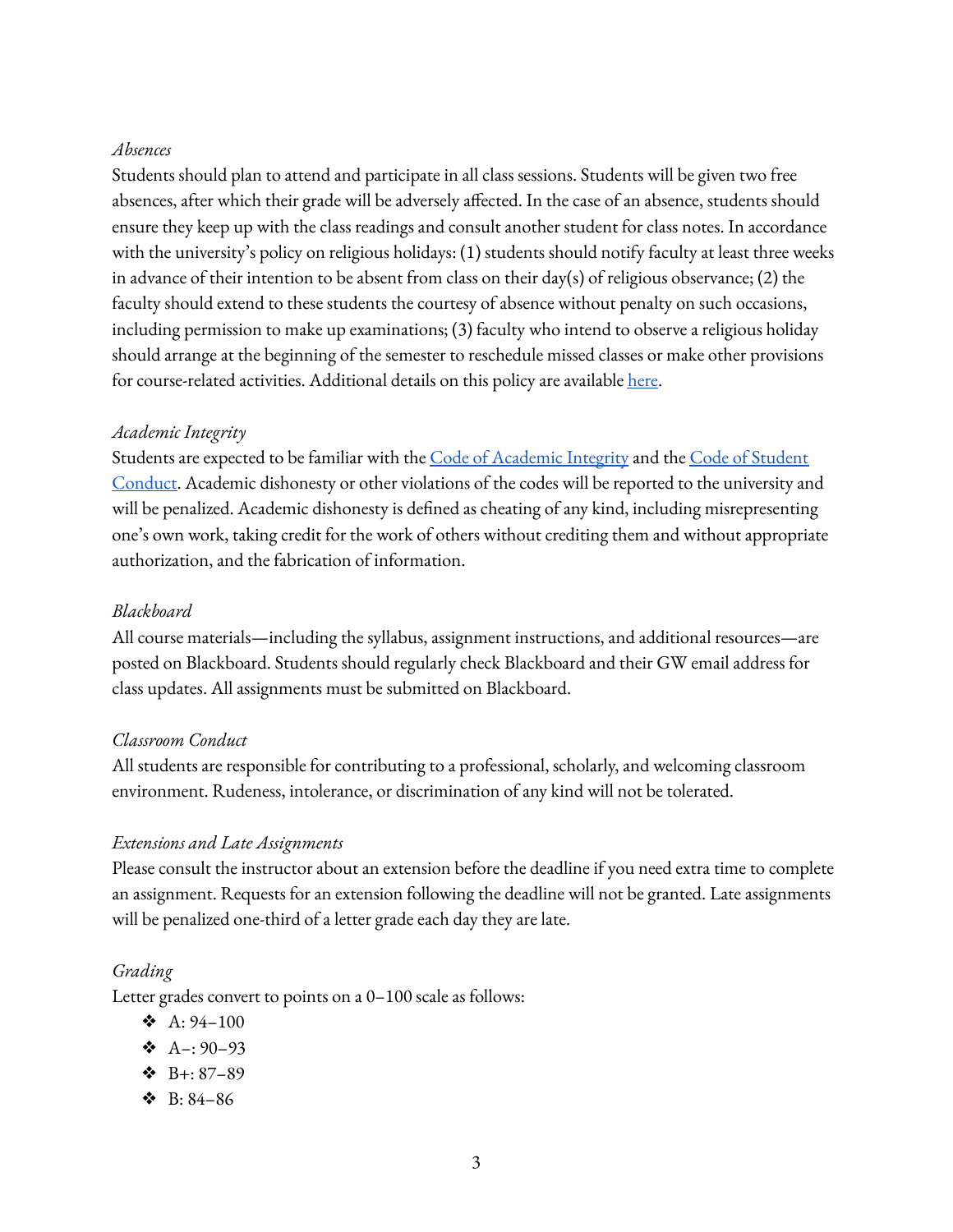#### *Absences*

Students should plan to attend and participate in all class sessions. Students will be given two free absences, after which their grade will be adversely affected. In the case of an absence, students should ensure they keep up with the class readings and consult another student for class notes. In accordance with the university's policy on religious holidays: (1) students should notify faculty at least three weeks in advance of their intention to be absent from class on their day(s) of religious observance; (2) the faculty should extend to these students the courtesy of absence without penalty on such occasions, including permission to make up examinations; (3) faculty who intend to observe a religious holiday should arrange at the beginning of the semester to reschedule missed classes or make other provisions for course-related activities. Additional details on this policy are available [here.](https://provost.gwu.edu/sites/g/files/zaxdzs626/f/downloads/Religious%20Holidays%20combined%202020-2021%20UPDATED.pdf)

#### *Academic Integrity*

Students are expected to be familiar with the Code of [Academic](https://studentconduct.gwu.edu/sites/g/files/zaxdzs3451/f/downloads/160912%20Code%20of%20Academic%20Integrity.pdf) Integrity and the Code of [Student](https://studentconduct.gwu.edu/sites/g/files/zaxdzs3451/f/downloads/Code%20of%20Student%20Conduct%2008172020.pdf) [Conduct.](https://studentconduct.gwu.edu/sites/g/files/zaxdzs3451/f/downloads/Code%20of%20Student%20Conduct%2008172020.pdf) Academic dishonesty or other violations of the codes will be reported to the university and will be penalized. Academic dishonesty is defined as cheating of any kind, including misrepresenting one's own work, taking credit for the work of others without crediting them and without appropriate authorization, and the fabrication of information.

#### *Blackboard*

All course materials—including the syllabus, assignment instructions, and additional resources—are posted on Blackboard. Students should regularly check Blackboard and their GW email address for class updates. All assignments must be submitted on Blackboard.

#### *Classroom Conduct*

All students are responsible for contributing to a professional, scholarly, and welcoming classroom environment. Rudeness, intolerance, or discrimination of any kind will not be tolerated.

#### *Extensions and Late Assignments*

Please consult the instructor about an extension before the deadline if you need extra time to complete an assignment. Requests for an extension following the deadline will not be granted. Late assignments will be penalized one-third of a letter grade each day they are late.

#### *Grading*

Letter grades convert to points on a 0–100 scale as follows:

- $\div$  A: 94-100
- $\bullet$  A  $90-93$
- ❖ B+: 87–89
- ❖ B: 84–86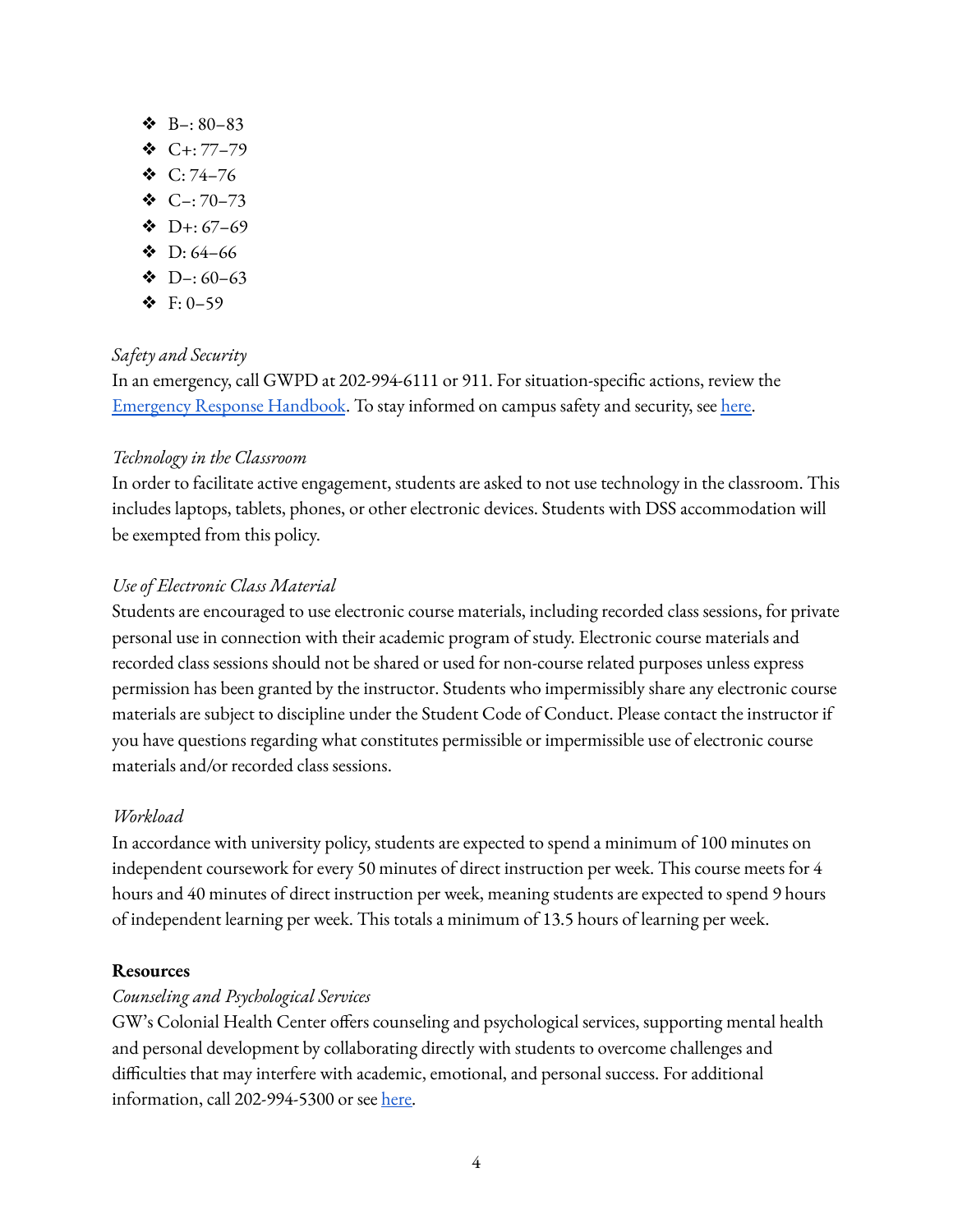- $\bullet$  B<sub>-</sub> $\cdot$  80-83
- ❖ C+: 77–79
- ❖ C: 74–76
- $\bullet$  C–: 70–73
- $\bullet$  D+ $\cdot$  67–69
- ❖ D: 64–66
- $\bullet$  D–: 60–63
- ❖ F: 0–59

## *Safety and Security*

In an emergency, call GWPD at 202-994-6111 or 911. For situation-specific actions, review the [Emergency](https://safety.gwu.edu/emergency-response-handbook) Response Handbook. To stay informed on campus safety and security, see [here.](https://safety.gwu.edu/stay-informed)

## *Technology in the Classroom*

In order to facilitate active engagement, students are asked to not use technology in the classroom. This includes laptops, tablets, phones, or other electronic devices. Students with DSS accommodation will be exempted from this policy.

## *Use of Electronic Class Material*

Students are encouraged to use electronic course materials, including recorded class sessions, for private personal use in connection with their academic program of study. Electronic course materials and recorded class sessions should not be shared or used for non-course related purposes unless express permission has been granted by the instructor. Students who impermissibly share any electronic course materials are subject to discipline under the Student Code of Conduct. Please contact the instructor if you have questions regarding what constitutes permissible or impermissible use of electronic course materials and/or recorded class sessions.

## *Workload*

In accordance with university policy, students are expected to spend a minimum of 100 minutes on independent coursework for every 50 minutes of direct instruction per week. This course meets for 4 hours and 40 minutes of direct instruction per week, meaning students are expected to spend 9 hours of independent learning per week. This totals a minimum of 13.5 hours of learning per week.

## **Resources**

## *Counseling and Psychological Services*

GW's Colonial Health Center offers counseling and psychological services, supporting mental health and personal development by collaborating directly with students to overcome challenges and difficulties that may interfere with academic, emotional, and personal success. For additional information, call 202-994-5300 or see [here.](https://healthcenter.gwu.edu/counseling-and-psychological-services)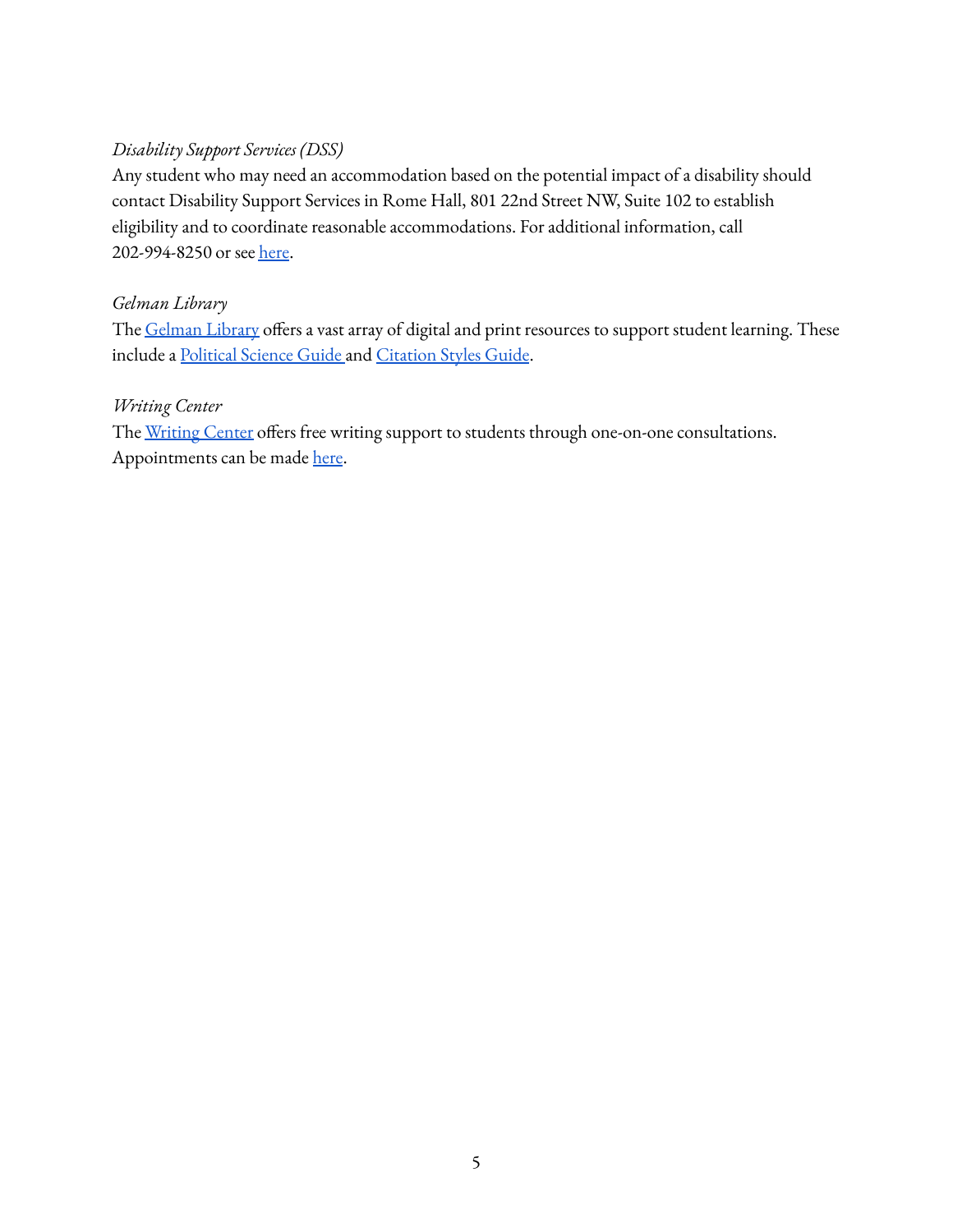## *Disability Support Services (DSS)*

Any student who may need an accommodation based on the potential impact of a disability should contact Disability Support Services in Rome Hall, 801 22nd Street NW, Suite 102 to establish eligibility and to coordinate reasonable accommodations. For additional information, call 202-994-8250 or see [here.](https://disabilitysupport.gwu.edu/)

## *Gelman Library*

The [Gelman](https://library.gwu.edu/) Library offers a vast array of digital and print resources to support student learning. These include a [Political](https://libguides.gwu.edu/polsci) Science Guide and [Citation](https://libguides.gwu.edu/styleguide) Styles Guide.

## *Writing Center*

The [Writing](https://writingcenter.gwu.edu/) Center offers free writing support to students through one-on-one consultations. Appointments can be made [here](https://writingcenter.gwu.edu/appointments).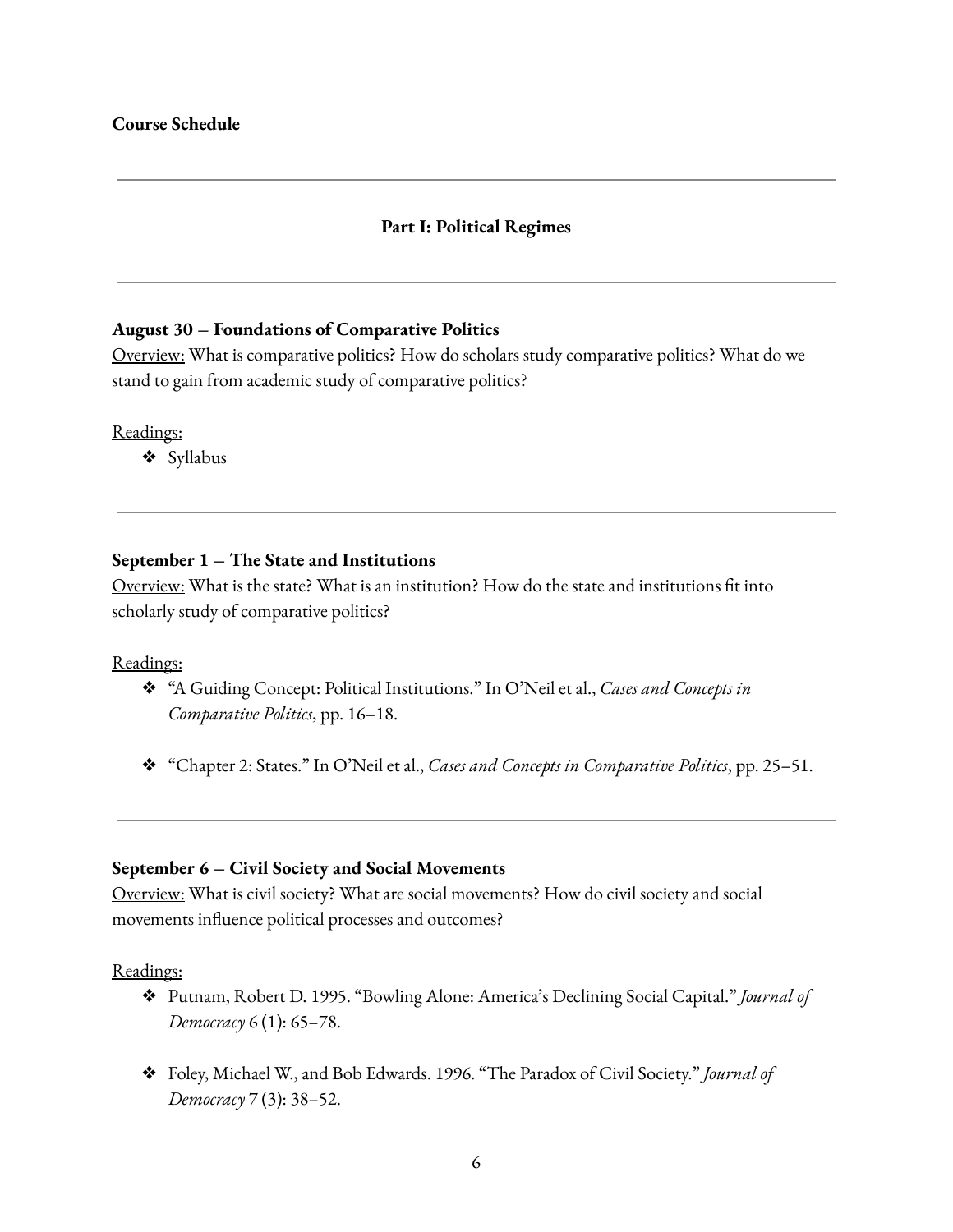#### **Part I: Political Regimes**

#### **August 30 – Foundations of Comparative Politics**

Overview: What is comparative politics? How do scholars study comparative politics? What do we stand to gain from academic study of comparative politics?

Readings:

❖ Syllabus

#### **September 1 – The State and Institutions**

Overview: What is the state? What is an institution? How do the state and institutions fit into scholarly study of comparative politics?

Readings:

- ❖ "A Guiding Concept: Political Institutions." In O'Neil et al., *Cases and Concepts in Comparative Politics*, pp. 16–18.
- ❖ "Chapter 2: States." In O'Neil et al., *Cases and Concepts in Comparative Politics*, pp. 25–51.

#### **September 6 – Civil Society and Social Movements**

Overview: What is civil society? What are social movements? How do civil society and social movements influence political processes and outcomes?

- ❖ Putnam, Robert D. 1995. "Bowling Alone: America's Declining Social Capital." *Journal of Democracy* 6 (1): 65–78.
- ❖ Foley, Michael W., and Bob Edwards. 1996. "The Paradox of Civil Society." *Journal of Democracy* 7 (3): 38–52.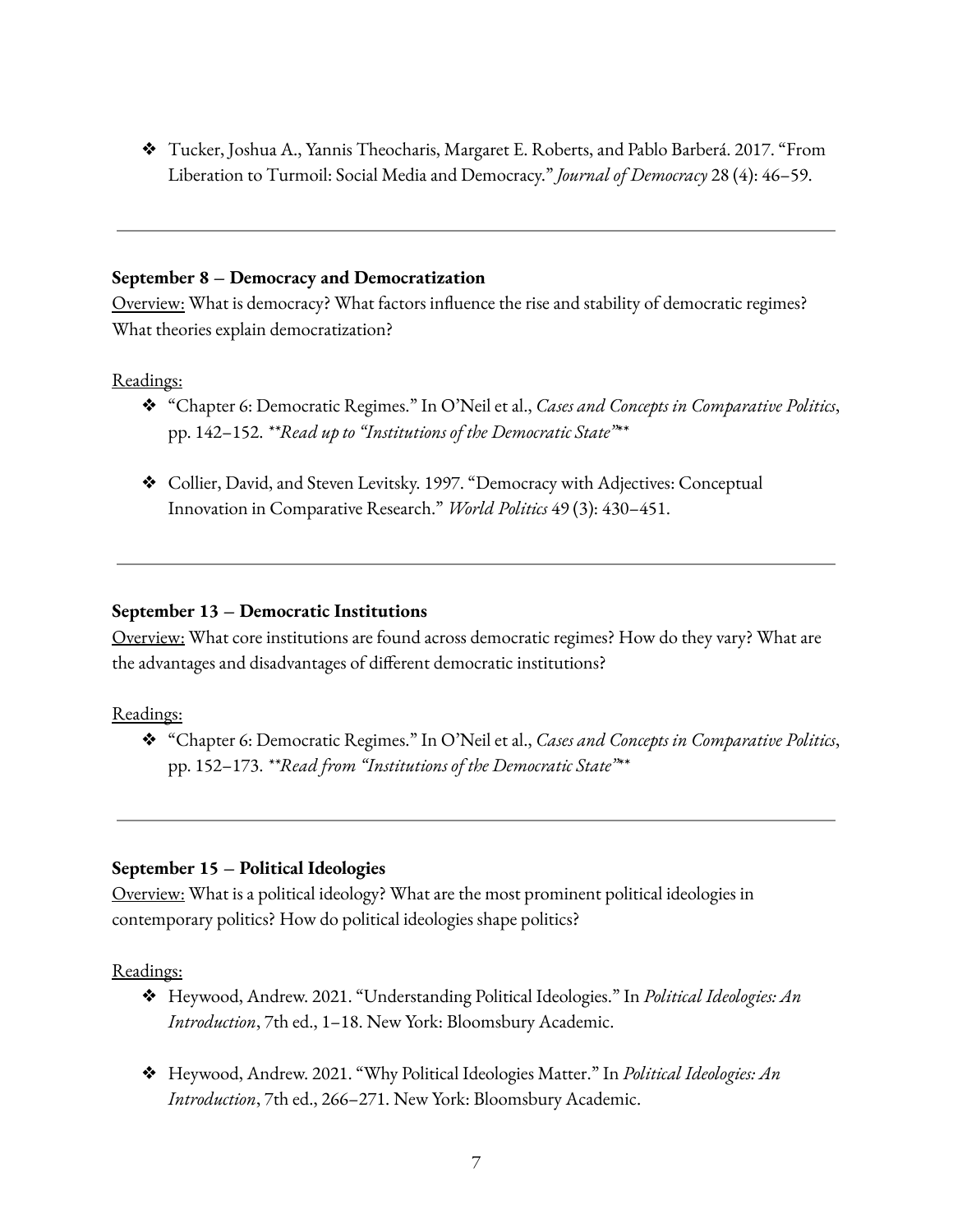❖ Tucker, Joshua A., Yannis Theocharis, Margaret E. Roberts, and Pablo Barberá. 2017. "From Liberation to Turmoil: Social Media and Democracy." *Journal of Democracy* 28 (4): 46–59.

#### **September 8 – Democracy and Democratization**

Overview: What is democracy? What factors influence the rise and stability of democratic regimes? What theories explain democratization?

#### Readings:

- ❖ "Chapter 6: Democratic Regimes." In O'Neil et al., *Cases and Concepts in Comparative Politics*, pp. 142–152. *\*\*Read up to "Institutions of the Democratic State"*\*\*
- ❖ Collier, David, and Steven Levitsky. 1997. "Democracy with Adjectives: Conceptual Innovation in Comparative Research." *World Politics* 49 (3): 430–451.

#### **September 13 – Democratic Institutions**

Overview: What core institutions are found across democratic regimes? How do they vary? What are the advantages and disadvantages of different democratic institutions?

## Readings:

❖ "Chapter 6: Democratic Regimes." In O'Neil et al., *Cases and Concepts in Comparative Politics*, pp. 152–173. *\*\*Read from "Institutions of the Democratic State"*\*\*

#### **September 15 – Political Ideologies**

Overview: What is a political ideology? What are the most prominent political ideologies in contemporary politics? How do political ideologies shape politics?

- ❖ Heywood, Andrew. 2021. "Understanding Political Ideologies." In *Political Ideologies: An Introduction*, 7th ed., 1–18. New York: Bloomsbury Academic.
- ❖ Heywood, Andrew. 2021. "Why Political Ideologies Matter." In *Political Ideologies: An Introduction*, 7th ed., 266–271. New York: Bloomsbury Academic.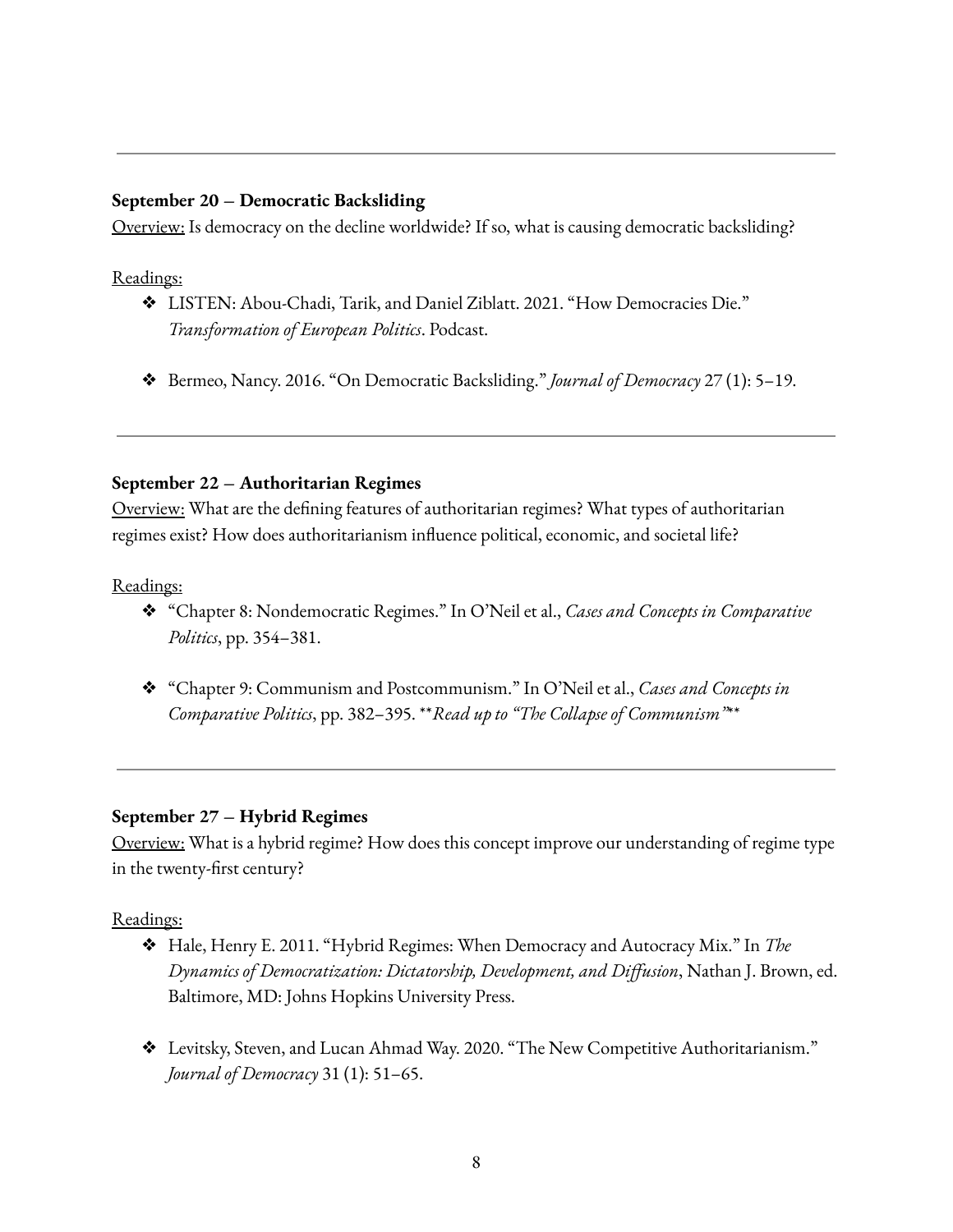#### **September 20 – Democratic Backsliding**

Overview: Is democracy on the decline worldwide? If so, what is causing democratic backsliding?

Readings:

- ❖ LISTEN: Abou-Chadi, Tarik, and Daniel Ziblatt. 2021. "How Democracies Die." *Transformation of European Politics*. Podcast.
- ❖ Bermeo, Nancy. 2016. "On Democratic Backsliding." *Journal of Democracy* 27 (1): 5–19.

#### **September 22 – Authoritarian Regimes**

Overview: What are the defining features of authoritarian regimes? What types of authoritarian regimes exist? How does authoritarianism influence political, economic, and societal life?

Readings:

- ❖ "Chapter 8: Nondemocratic Regimes." In O'Neil et al., *Cases and Concepts in Comparative Politics*, pp. 354–381.
- ❖ "Chapter 9: Communism and Postcommunism." In O'Neil et al., *Cases and Concepts in Comparative Politics*, pp. 382–395. \*\**Read up to "The Collapse of Communism"*\*\*

## **September 27 – Hybrid Regimes**

Overview: What is a hybrid regime? How does this concept improve our understanding of regime type in the twenty-first century?

- ❖ Hale, Henry E. 2011. "Hybrid Regimes: When Democracy and Autocracy Mix." In *The Dynamics of Democratization: Dictatorship, Development, and Diffusion*, Nathan J. Brown, ed. Baltimore, MD: Johns Hopkins University Press.
- ❖ Levitsky, Steven, and Lucan Ahmad Way. 2020. "The New Competitive Authoritarianism." *Journal of Democracy* 31 (1): 51–65.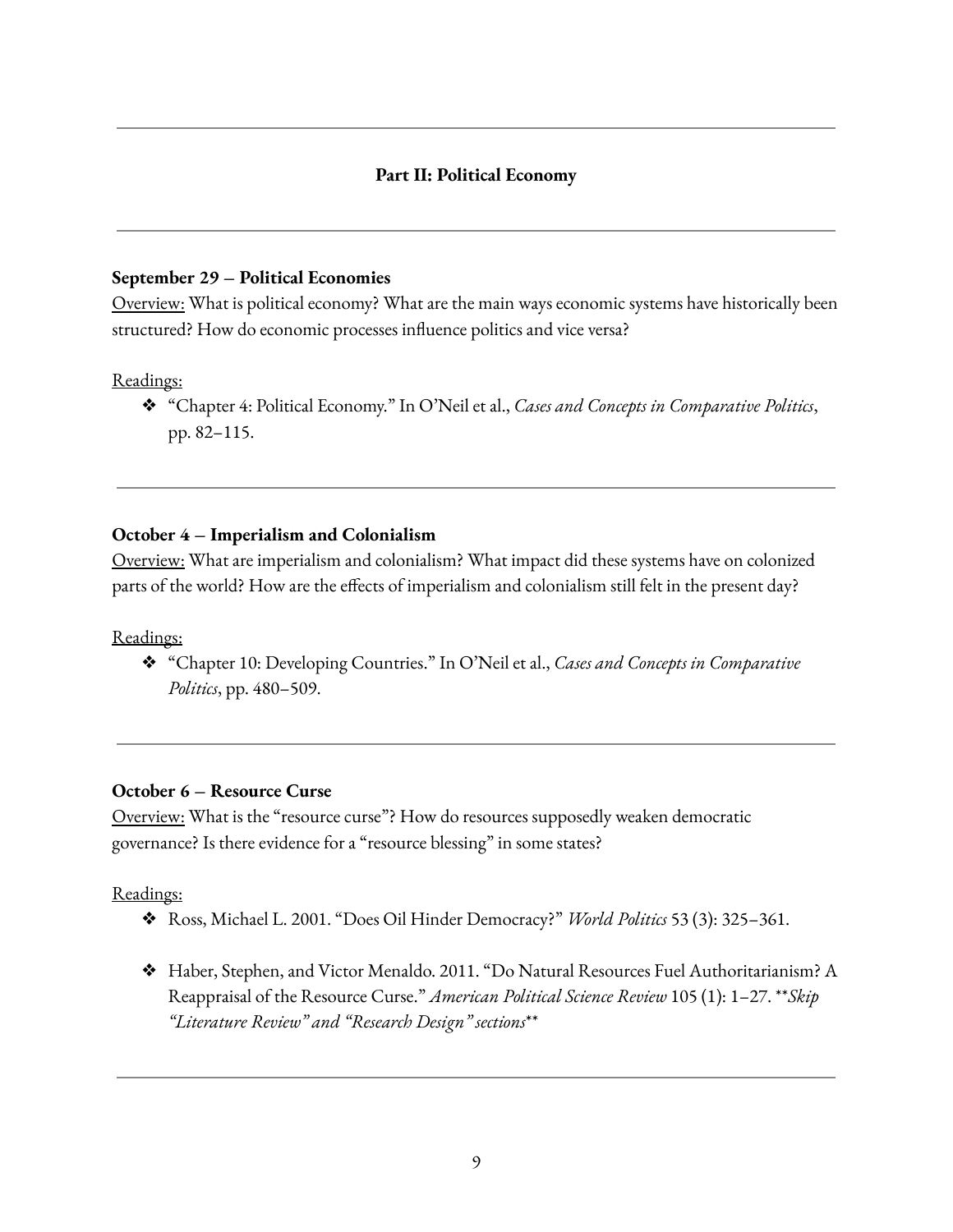#### **Part II: Political Economy**

#### **September 29 – Political Economies**

Overview: What is political economy? What are the main ways economic systems have historically been structured? How do economic processes influence politics and vice versa?

#### Readings:

❖ "Chapter 4: Political Economy." In O'Neil et al., *Cases and Concepts in Comparative Politics*, pp. 82–115.

#### **October 4 – Imperialism and Colonialism**

Overview: What are imperialism and colonialism? What impact did these systems have on colonized parts of the world? How are the effects of imperialism and colonialism still felt in the present day?

Readings:

❖ "Chapter 10: Developing Countries." In O'Neil et al., *Cases and Concepts in Comparative Politics*, pp. 480–509.

#### **October 6 – Resource Curse**

Overview: What is the "resource curse"? How do resources supposedly weaken democratic governance? Is there evidence for a "resource blessing" in some states?

- ❖ Ross, Michael L. 2001. "Does Oil Hinder Democracy?" *World Politics* 53 (3): 325–361.
- ❖ Haber, Stephen, and Victor Menaldo. 2011. "Do Natural Resources Fuel Authoritarianism? A Reappraisal of the Resource Curse." *American Political Science Review* 105 (1): 1–27. \*\**Skip "Literature Review" and "Research Design" sections*\*\*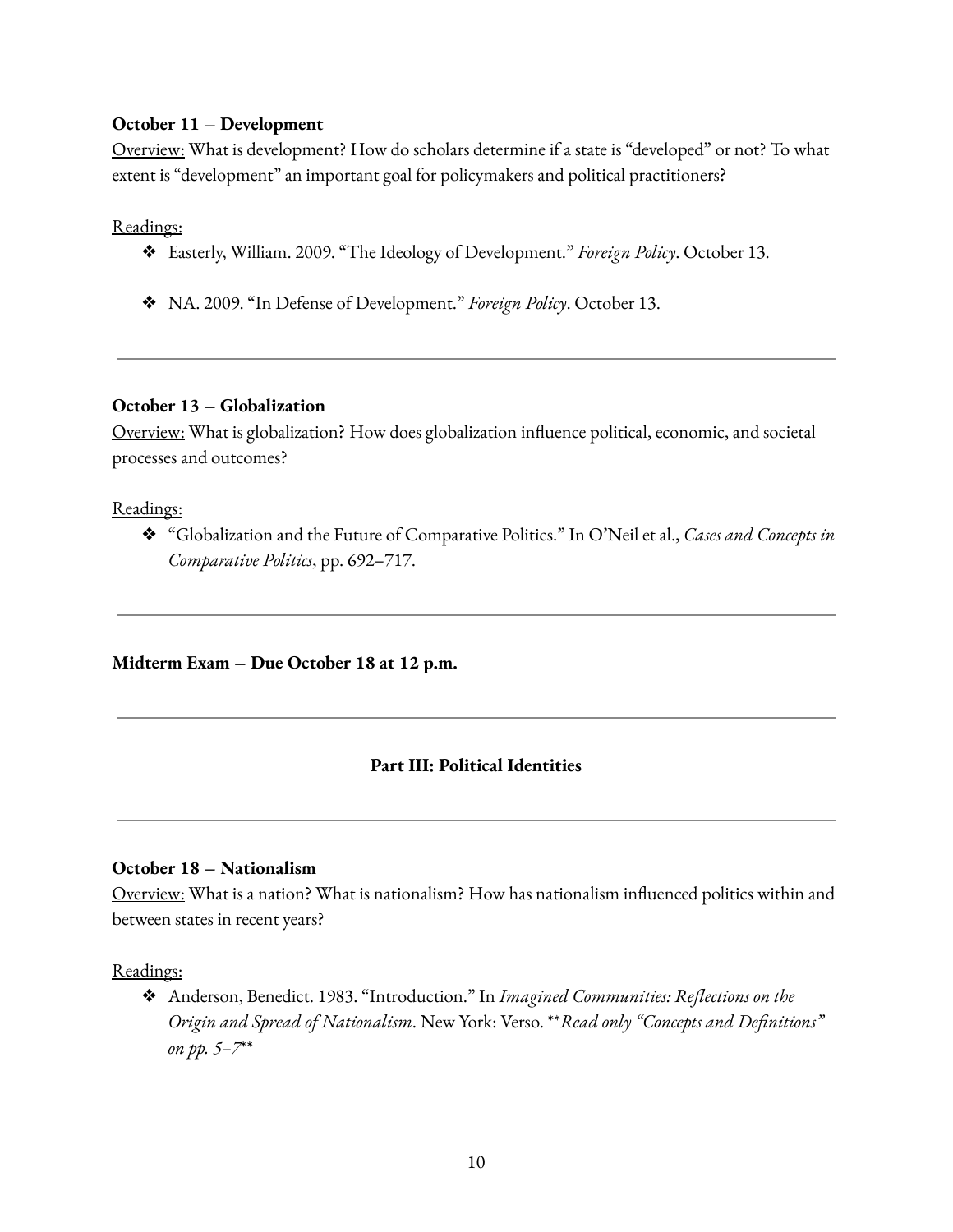#### **October 11 – Development**

Overview: What is development? How do scholars determine if a state is "developed" or not? To what extent is "development" an important goal for policymakers and political practitioners?

Readings:

- ❖ Easterly, William. 2009. "The Ideology of Development." *Foreign Policy*. October 13.
- ❖ NA. 2009. "In Defense of Development." *Foreign Policy*. October 13.

#### **October 13 – Globalization**

Overview: What is globalization? How does globalization influence political, economic, and societal processes and outcomes?

#### Readings:

❖ "Globalization and the Future of Comparative Politics." In O'Neil et al., *Cases and Concepts in Comparative Politics*, pp. 692–717.

**Midterm Exam – Due October 18 at 12 p.m.**

## **Part III: Political Identities**

#### **October 18 – Nationalism**

Overview: What is a nation? What is nationalism? How has nationalism influenced politics within and between states in recent years?

Readings:

❖ Anderson, Benedict. 1983. "Introduction." In *Imagined Communities: Reflections on the Origin and Spread of Nationalism*. New York: Verso. \*\**Read only "Concepts and Definitions" on pp. 5–7*\*\*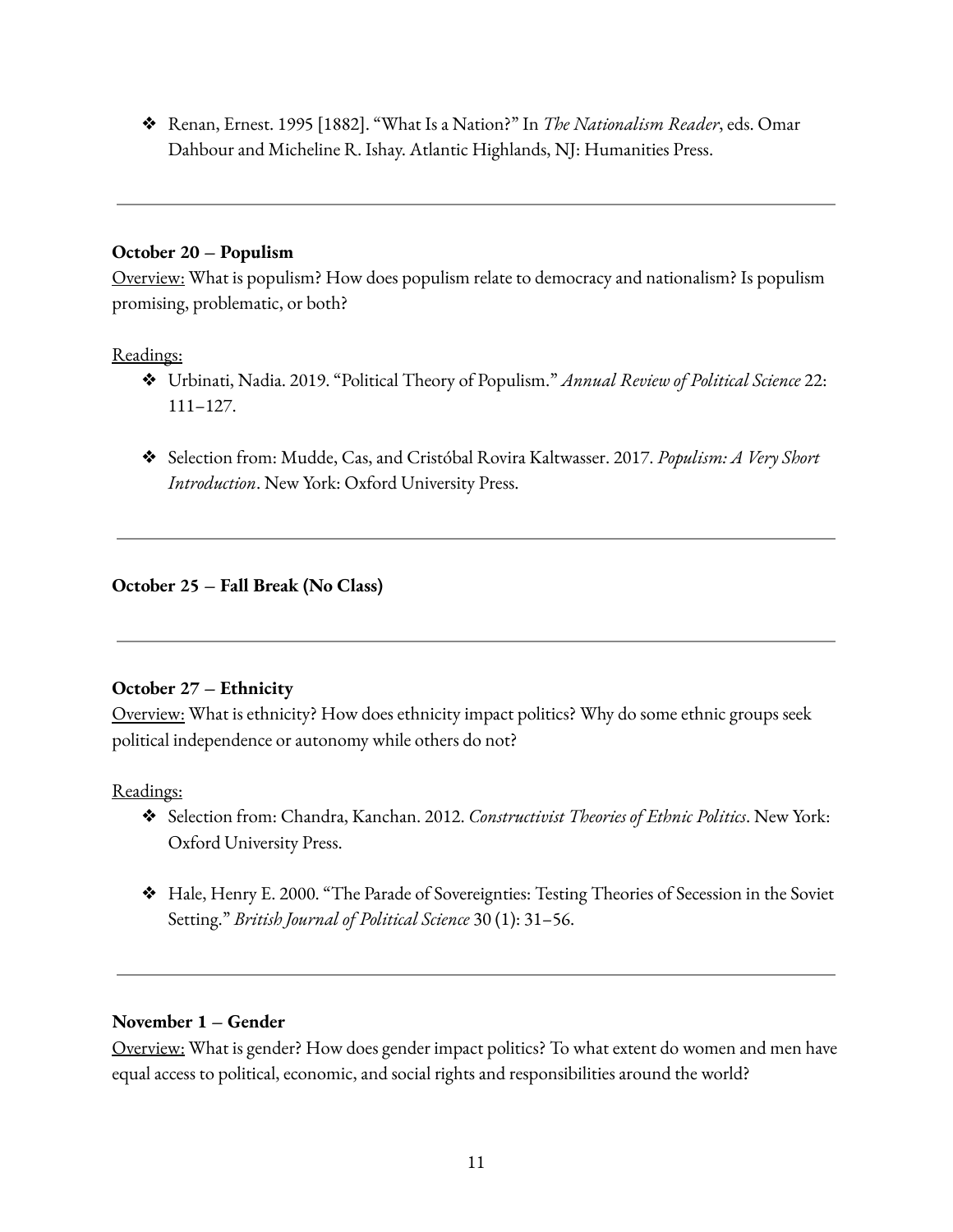❖ Renan, Ernest. 1995 [1882]. "What Is a Nation?" In *The Nationalism Reader*, eds. Omar Dahbour and Micheline R. Ishay. Atlantic Highlands, NJ: Humanities Press.

#### **October 20 – Populism**

Overview: What is populism? How does populism relate to democracy and nationalism? Is populism promising, problematic, or both?

#### Readings:

- ❖ Urbinati, Nadia. 2019. "Political Theory of Populism." *Annual Review of Political Science* 22: 111–127.
- ❖ Selection from: Mudde, Cas, and Cristóbal Rovira Kaltwasser. 2017. *Populism: A Very Short Introduction*. New York: Oxford University Press.

**October 25 – Fall Break (No Class)**

## **October 27 – Ethnicity**

Overview: What is ethnicity? How does ethnicity impact politics? Why do some ethnic groups seek political independence or autonomy while others do not?

## Readings:

- ❖ Selection from: Chandra, Kanchan. 2012. *Constructivist Theories of Ethnic Politics*. New York: Oxford University Press.
- ❖ Hale, Henry E. 2000. "The Parade of Sovereignties: Testing Theories of Secession in the Soviet Setting." *British Journal of Political Science* 30 (1): 31–56.

#### **November 1 – Gender**

Overview: What is gender? How does gender impact politics? To what extent do women and men have equal access to political, economic, and social rights and responsibilities around the world?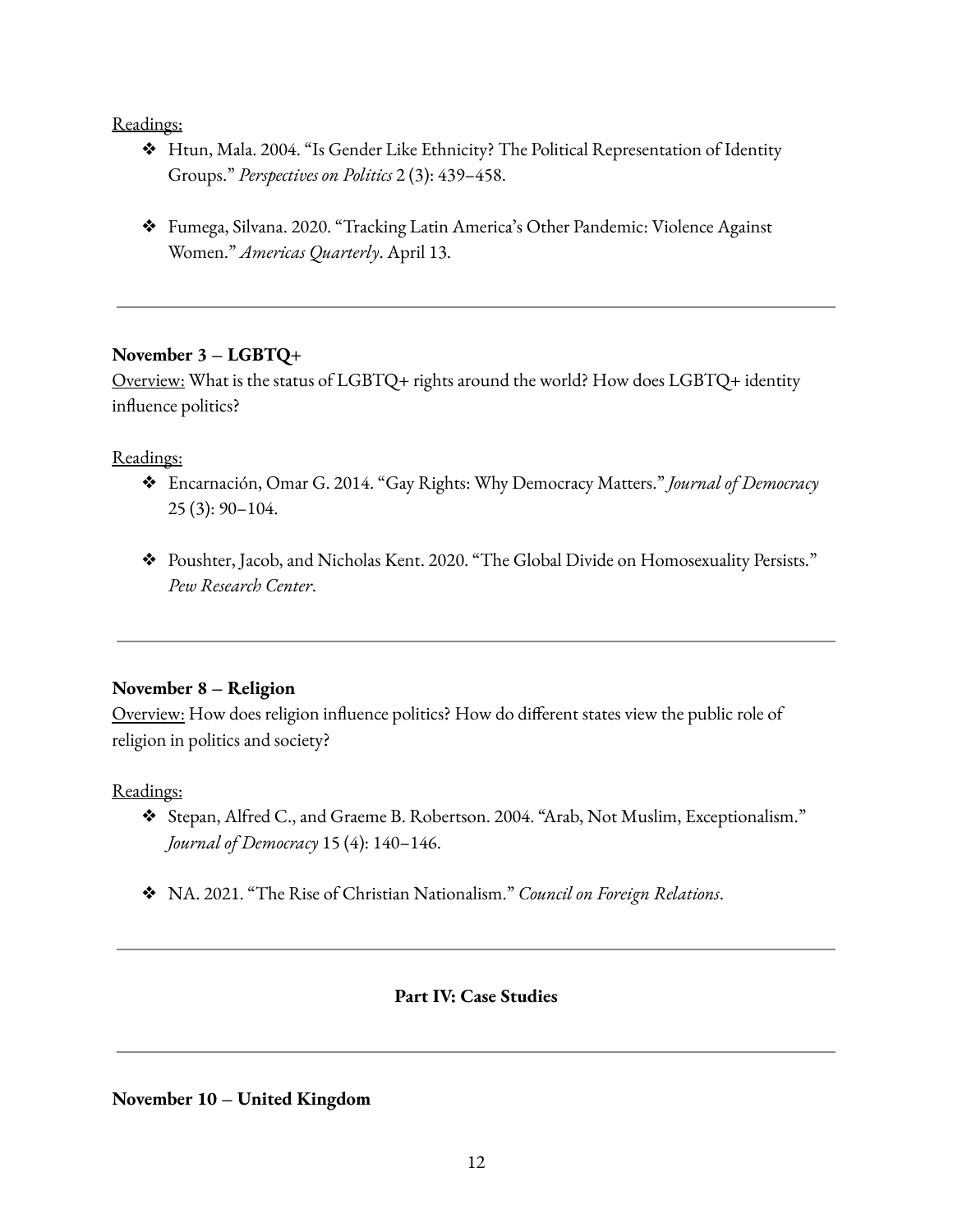Readings:

- ❖ Htun, Mala. 2004. "Is Gender Like Ethnicity? The Political Representation of Identity Groups." *Perspectives on Politics* 2 (3): 439–458.
- ❖ Fumega, Silvana. 2020. "Tracking Latin America's Other Pandemic: Violence Against Women." *Americas Quarterly*. April 13.

## **November 3 – LGBTQ+**

Overview: What is the status of LGBTQ+ rights around the world? How does LGBTQ+ identity influence politics?

Readings:

- ❖ Encarnación, Omar G. 2014. "Gay Rights: Why Democracy Matters." *Journal of Democracy* 25 (3): 90–104.
- ❖ Poushter, Jacob, and Nicholas Kent. 2020. "The Global Divide on Homosexuality Persists." *Pew Research Center*.

## **November 8 – Religion**

Overview: How does religion influence politics? How do different states view the public role of religion in politics and society?

Readings:

- ❖ Stepan, Alfred C., and Graeme B. Robertson. 2004. "Arab, Not Muslim, Exceptionalism." *Journal of Democracy* 15 (4): 140–146.
- ❖ NA. 2021. "The Rise of Christian Nationalism." *Council on Foreign Relations*.

## **Part IV: Case Studies**

## **November 10 – United Kingdom**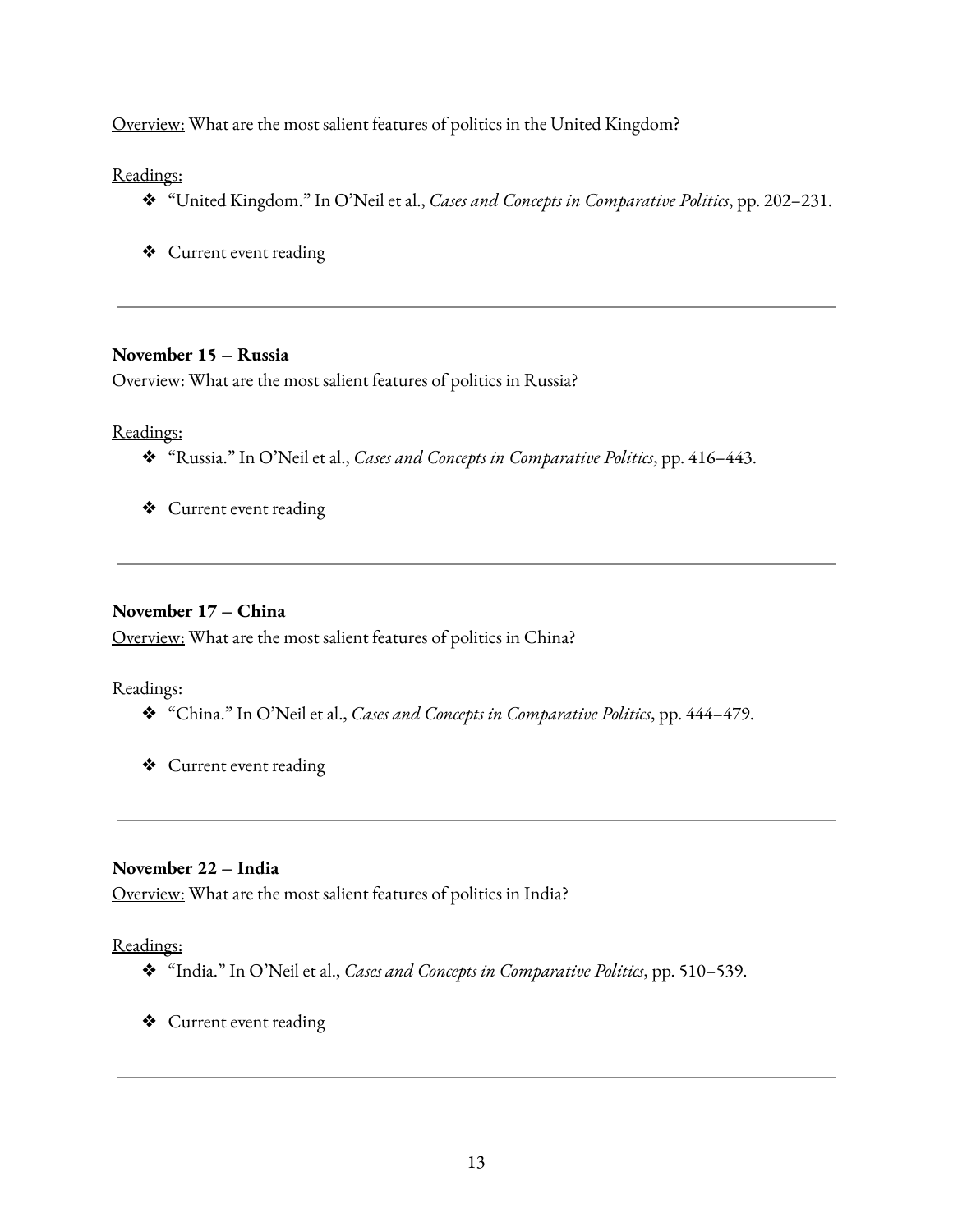Overview: What are the most salient features of politics in the United Kingdom?

## Readings:

- ❖ "United Kingdom." In O'Neil et al., *Cases and Concepts in Comparative Politics*, pp. 202–231.
- ❖ Current event reading

## **November 15 – Russia**

Overview: What are the most salient features of politics in Russia?

## Readings:

- ❖ "Russia." In O'Neil et al., *Cases and Concepts in Comparative Politics*, pp. 416–443.
- ❖ Current event reading

## **November 17 – China**

Overview: What are the most salient features of politics in China?

## Readings:

- ❖ "China." In O'Neil et al., *Cases and Concepts in Comparative Politics*, pp. 444–479.
- ❖ Current event reading

## **November 22 – India**

Overview: What are the most salient features of politics in India?

- ❖ "India." In O'Neil et al., *Cases and Concepts in Comparative Politics*, pp. 510–539.
- ❖ Current event reading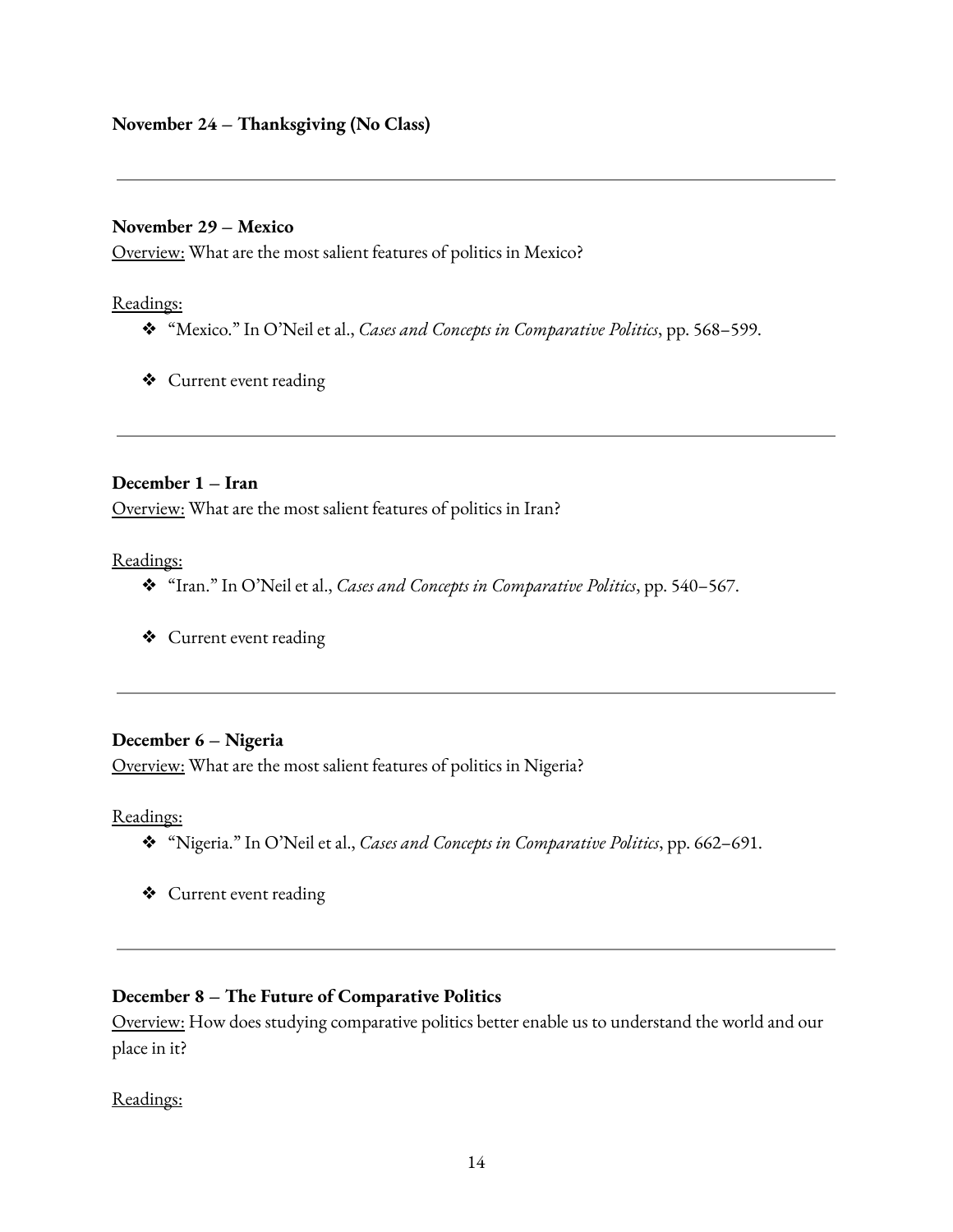#### **November 29 – Mexico**

Overview: What are the most salient features of politics in Mexico?

#### Readings:

- ❖ "Mexico." In O'Neil et al., *Cases and Concepts in Comparative Politics*, pp. 568–599.
- ❖ Current event reading

#### **December 1 – Iran**

Overview: What are the most salient features of politics in Iran?

#### Readings:

- ❖ "Iran." In O'Neil et al., *Cases and Concepts in Comparative Politics*, pp. 540–567.
- ❖ Current event reading

## **December 6 – Nigeria**

Overview: What are the most salient features of politics in Nigeria?

Readings:

- ❖ "Nigeria." In O'Neil et al., *Cases and Concepts in Comparative Politics*, pp. 662–691.
- ❖ Current event reading

## **December 8 – The Future of Comparative Politics**

Overview: How does studying comparative politics better enable us to understand the world and our place in it?